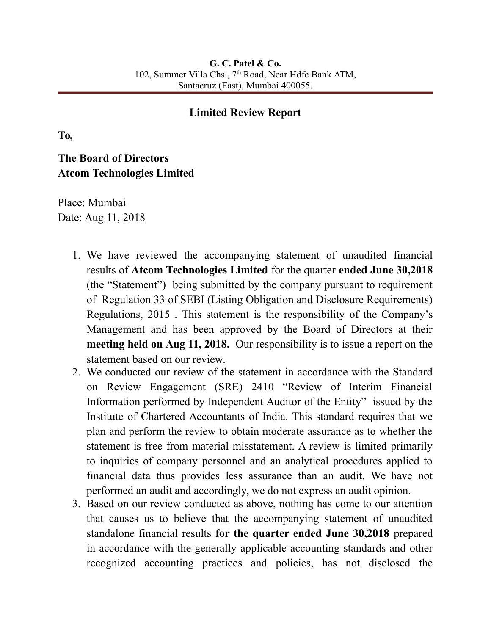## **Limited Review Report**

**To,**

## **The Board of Directors Atcom Technologies Limited**

Place: Mumbai Date: Aug 11, 2018

- 1. We have reviewed the accompanying statement of unaudited financial results of **Atcom Technologies Limited** for the quarter **ended June 30,2018** (the "Statement") being submitted by the company pursuant to requirement of Regulation 33 of SEBI (Listing Obligation and Disclosure Requirements) Regulations, 2015 . This statement is the responsibility of the Company's Management and has been approved by the Board of Directors at their **meeting held on Aug 11, 2018.** Our responsibility is to issue a report on the statement based on our review.
- 2. We conducted our review of the statement in accordance with the Standard on Review Engagement (SRE) 2410 "Review of Interim Financial Information performed by Independent Auditor of the Entity" issued by the Institute of Chartered Accountants of India. This standard requires that we plan and perform the review to obtain moderate assurance as to whether the statement is free from material misstatement. A review is limited primarily to inquiries of company personnel and an analytical procedures applied to financial data thus provides less assurance than an audit. We have not performed an audit and accordingly, we do not express an audit opinion.
- 3. Based on our review conducted as above, nothing has come to our attention that causes us to believe that the accompanying statement of unaudited standalone financial results **for the quarter ended June 30,2018** prepared in accordance with the generally applicable accounting standards and other recognized accounting practices and policies, has not disclosed the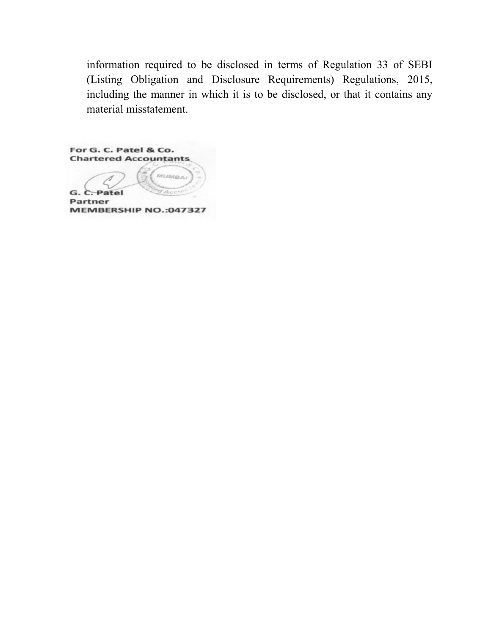information required to be disclosed in terms of Regulation 33 of SEBI (Listing Obligation and Disclosure Requirements) Regulations, 2015, including the manner in which it is to be disclosed, or that it contains any material misstatement.

For G. C. Patel & Co. **Chartered Accountants** MUMBA G.  $\sim$ Patel **Partner** MEMBERSHIP NO.:047327